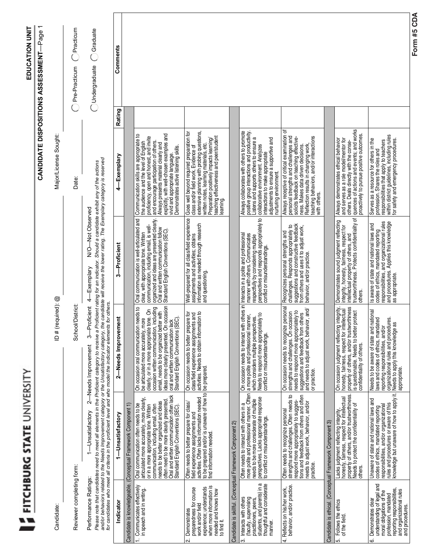|                                                                                                                                                                                          | FITCHBURG STATE UNIVERSITY                                                                                                                                                                                                                                                                                                                                                                                                               |                                                                                                                                                                                                                                                                                                                                                                       |                                                                                                                                                                                                                                                               |                                                                                                                                                                                                                                                                                                                                         | <b>EDUCATION UNIT</b><br><b>CANDIDATE DISPOSITIONS ASSESSMENT-Page</b> |             |
|------------------------------------------------------------------------------------------------------------------------------------------------------------------------------------------|------------------------------------------------------------------------------------------------------------------------------------------------------------------------------------------------------------------------------------------------------------------------------------------------------------------------------------------------------------------------------------------------------------------------------------------|-----------------------------------------------------------------------------------------------------------------------------------------------------------------------------------------------------------------------------------------------------------------------------------------------------------------------------------------------------------------------|---------------------------------------------------------------------------------------------------------------------------------------------------------------------------------------------------------------------------------------------------------------|-----------------------------------------------------------------------------------------------------------------------------------------------------------------------------------------------------------------------------------------------------------------------------------------------------------------------------------------|------------------------------------------------------------------------|-------------|
| Candidate:                                                                                                                                                                               |                                                                                                                                                                                                                                                                                                                                                                                                                                          | $D#$ (required): $@$                                                                                                                                                                                                                                                                                                                                                  |                                                                                                                                                                                                                                                               | Major/License Sought:                                                                                                                                                                                                                                                                                                                   |                                                                        |             |
| Reviewer completing form:                                                                                                                                                                |                                                                                                                                                                                                                                                                                                                                                                                                                                          | School/District:                                                                                                                                                                                                                                                                                                                                                      |                                                                                                                                                                                                                                                               | Date:                                                                                                                                                                                                                                                                                                                                   | Practicum<br>Pre-Practicum                                             |             |
| Performance Ratings:                                                                                                                                                                     | and/or behaviors related to the Needs Improvement category or the Unsatisfactory category, the candidate will receive the lower rating. The Exemplary category is reserved<br>for candidates who meet all criteria in the profici<br>Please note that candidates need to meet all elements in the Proficient category to receive a Proficient rating for an indicator. Should a candidate exhibit any of the actions<br>1-Unsatisfactory | 3-Proficient<br>2-Needs Improvement                                                                                                                                                                                                                                                                                                                                   | N/O-Not Observed<br>4-Exemplary                                                                                                                                                                                                                               |                                                                                                                                                                                                                                                                                                                                         | $\bigcap$ Graduate<br><b>Undergraduate</b>                             |             |
| Indicator                                                                                                                                                                                | 1-Unsatisfactory                                                                                                                                                                                                                                                                                                                                                                                                                         | 2-Needs Improvement                                                                                                                                                                                                                                                                                                                                                   | -Proficient<br>က်                                                                                                                                                                                                                                             | 4—Exemplary                                                                                                                                                                                                                                                                                                                             | Comments<br><b>Rating</b>                                              |             |
|                                                                                                                                                                                          | Candidate is knowledgeable. (Conceptual Framework Component 1)                                                                                                                                                                                                                                                                                                                                                                           |                                                                                                                                                                                                                                                                                                                                                                       |                                                                                                                                                                                                                                                               |                                                                                                                                                                                                                                                                                                                                         |                                                                        |             |
| 1. Communicates effectively<br>in speech and in writing.                                                                                                                                 | Oral and written communication often lack<br>articulated more accurately, more clearly,<br>often need to be more clearly presented.<br>needs to be better organized and ideas<br>Oral communication often needs to be<br>or in a more appropriate tone. Written<br>communication, including email, often<br>Standard English Conventions (SEC)                                                                                           | ideas more clearly presented. On occasion<br>, including<br>needs to<br>On occasion oral communication needs to<br>be articulated more accurately, more<br>clearly, or in a more appropriate tone. On<br>ter with<br>oral and written communication lack<br>Standard English Conventions (SEC).<br>email, needs to be organized bet<br>occasion written communication | Oral communication is well-articulated and<br>clear, with appropriate tone. Written<br>organized and ideas are presented clearly.<br>communication, including email, is well-<br>Oral and written communication follow<br>Standard English Conventions (SEC). | explicitly, with well-chosen examples and<br>vivid and appropriate language.<br>Communication skills are appropriate to<br>the audience and the level of English<br>proficiency, open and honest, and invite<br>and encourage participation of others.<br>Always presents material clearly and<br>Demonstrates active listening skills. |                                                                        |             |
| when more information is<br>experience; understands<br>preparedness for course<br>needed and knows how<br>work and/or field<br>Demonstrates<br>to find it.<br>۵i                         | to be prepared and/or is unaware of how to<br>find information needed.<br>field experience assignments and<br>activities. Often lacks information needed<br>Often needs to better prepare for class/                                                                                                                                                                                                                                     | class/field experience assigniments and<br>activities. Needs to obtain information to<br>be prepared.<br>On occasion needs to better prepare for                                                                                                                                                                                                                      | Well-prepared for all class/field experience<br>information as needed through research<br>assignments and activities; obtains<br>and questioning.                                                                                                             | extensive planning with probing questions,<br>Goes well beyond required preparation for<br>teaching effectiveness and peer/student<br>written notes, learning materials, etc.<br>Preparation positively impacts learning/<br>class and/or field work. Evidence of<br>earning                                                            |                                                                        |             |
|                                                                                                                                                                                          | Candidate is skillful. (Conceptual Framework Component 2)                                                                                                                                                                                                                                                                                                                                                                                |                                                                                                                                                                                                                                                                                                                                                                       |                                                                                                                                                                                                                                                               |                                                                                                                                                                                                                                                                                                                                         |                                                                        |             |
| practitioners, peers,<br>students, and parents) in a<br>thoughtful and considerate<br>Interacts with others<br>(faculty, supervising<br>manner.<br>ကံ                                    | Often needs to interact with others in a<br>more polite and professional manner. Often<br>needs to be more considerate of multiple<br>perspectives. Lacks appropriate response<br>to conflict or misunderstandings.                                                                                                                                                                                                                      | th others in<br>Needs to respond more appropriately to<br>anner,<br>which considers multiple perspectives.<br>On occasion needs to interact wit<br>a more polite and professional ma<br>conflict or misunderstandings.                                                                                                                                                | perspectives and responds appropriately to<br>Interacts in a polite and professional<br>manner with others. Communicates<br>respectfully by considering multiple<br>conflict or misunderstandings                                                             | positive group interactions and productivity.<br>Always collaborates with others to promote<br>Listens and supports others to ensure a<br>adjustments to ensure a supportive and<br>collaborative environment. Analyzes<br>interactions to make appropriate<br>nurturing environment.                                                   |                                                                        |             |
| behavior, and/or practice.<br>4. Reflects on his/her work,                                                                                                                               | strengths and challenges. Often needs to<br>respond more appropriately to sugges-<br>tions and feedback from others and often<br>needs to adjust work, behavior, and/or<br>Often needs to recognize personal<br>practice.                                                                                                                                                                                                                | personal<br>On occasion needs to recognize personal<br>> strengths and challenges. On occasion<br>needs to respond more appropriately to<br>> suggestions and feedback from others<br>and needs to adjust work, behavior, and/   <br>or practice                                                                                                                      | challenges. Responds appropriately to<br>suggestions and constructive feedback<br>from others and uses it to adjust work,<br>Recognizes personal strengths and<br>behavior, and/or practice.                                                                  | Always receptive of critical examination of<br>personal strengths and challenges and<br>solicits feedback on teaching effective-<br>ness. Makes data driven decisions.<br>teaching behaviors, and/or interactions<br>Reflection results in changing work<br>with others.                                                                |                                                                        |             |
|                                                                                                                                                                                          | Candidate is ethical. (Conceptual Framework Component 3)                                                                                                                                                                                                                                                                                                                                                                                 |                                                                                                                                                                                                                                                                                                                                                                       |                                                                                                                                                                                                                                                               |                                                                                                                                                                                                                                                                                                                                         |                                                                        |             |
| 5. Follows the ethics<br>of the field                                                                                                                                                    | property of others, and/or trustworthiness.<br>Needs to protect the confidentiality of<br>Lacks judgment reflecting integrity,<br>honesty, faimess, respect for intellectual<br>others.                                                                                                                                                                                                                                                  | integrity,<br>property of others, and/or trustworthiness<br>is questionable. Needs to better protect<br>confidentiality of others.<br>ellectual<br>On occasion judgment reflecting<br>honesty, faimess, respect for int                                                                                                                                               | intellectual property of others, and<br>trustworthiness. Protects confidentiality of<br>Demonstrates sound judgment reflecting<br>integrity, honesty, fairness, respect for<br>others.                                                                        | quences of actions and events; and works<br>proactively to pursue positive outcomes.<br>and serves as a role model/mentor for<br>Always demonstrates ethical behavior<br>others. Deals directly with the conse-                                                                                                                         |                                                                        |             |
| understanding of legal and<br>moral obligations of the<br>reporting responsibilities,<br>and organizational rules<br>and procedures.<br>profession, mandated<br>Demonstrates clear<br>có | rules and procedures or aware of this<br>knowledge but unaware of how to apply it.<br>Unaware of state and national laws and<br>codes of ethics, mandated reporting<br>responsibilities, and/or organizational                                                                                                                                                                                                                           | national<br>organizational rules and procedures.<br>Needs to apply this knowledge as<br>laws and codes of ethics, mandated<br>reporting responsibilities, and/or<br>Needs to be aware of state and<br>appropriate                                                                                                                                                     | responsibilities, and organizational rules<br>and procedures. Applies this knowledge<br>Is aware of state and national laws and<br>codes of ethics, mandated reporting<br>as appropriate.                                                                     | responsibilities that apply to teachers<br>within district guidelines, including rules<br>for safety and emergency procedures.<br>Serves as a resource for others in the<br>profession. Shares the roles and                                                                                                                            |                                                                        |             |
|                                                                                                                                                                                          |                                                                                                                                                                                                                                                                                                                                                                                                                                          |                                                                                                                                                                                                                                                                                                                                                                       |                                                                                                                                                                                                                                                               |                                                                                                                                                                                                                                                                                                                                         |                                                                        | Form #5 CDA |